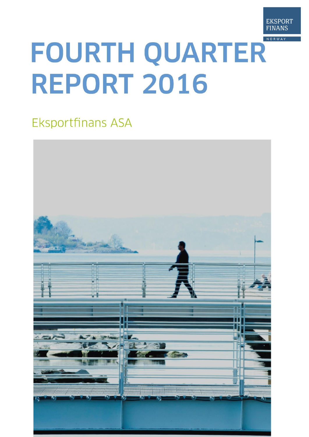

# **FOURTH QUARTER REPORT 2016**

## **Eksportfinans ASA**

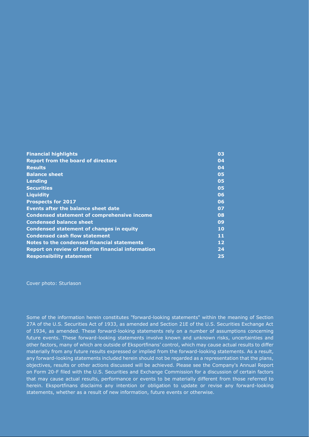| <b>Financial highlights</b>                        | 03 |
|----------------------------------------------------|----|
| <b>Report from the board of directors</b>          | 04 |
| <b>Results</b>                                     | 04 |
| <b>Balance sheet</b>                               | 05 |
| Lending                                            | 05 |
| <b>Securities</b>                                  | 05 |
| <b>Liquidity</b>                                   | 06 |
| <b>Prospects for 2017</b>                          | 06 |
| <b>Events after the balance sheet date</b>         | 07 |
| <b>Condensed statement of comprehensive income</b> | 08 |
| <b>Condensed balance sheet</b>                     | 09 |
| <b>Condensed statement of changes in equity</b>    | 10 |
| <b>Condensed cash flow statement</b>               | 11 |
| Notes to the condensed financial statements        | 12 |
| Report on review of interim financial information  | 24 |
| <b>Responsibility statement</b>                    | 25 |

Cover photo: Sturlason

Some of the information herein constitutes "forward-looking statements" within the meaning of Section 27A of the U.S. Securities Act of 1933, as amended and Section 21E of the U.S. Securities Exchange Act of 1934, as amended. These forward-looking statements rely on a number of assumptions concerning future events. These forward-looking statements involve known and unknown risks, uncertainties and other factors, many of which are outside of Eksportfinans' control, which may cause actual results to differ materially from any future results expressed or implied from the forward-looking statements. As a result, any forward-looking statements included herein should not be regarded as a representation that the plans, objectives, results or other actions discussed will be achieved. Please see the Company's Annual Report on Form 20-F filed with the U.S. Securities and Exchange Commission for a discussion of certain factors that may cause actual results, performance or events to be materially different from those referred to herein. Eksportfinans disclaims any intention or obligation to update or revise any forward-looking statements, whether as a result of new information, future events or otherwise.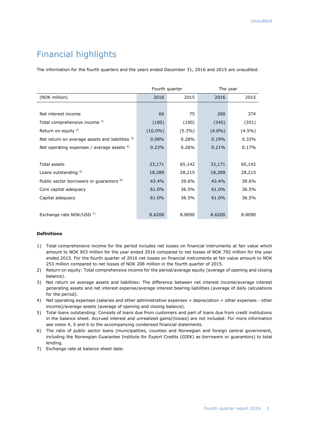## Financial highlights

The information for the fourth quarters and the years ended December 31, 2016 and 2015 are unaudited.

|                                                     |            | Fourth quarter | The year  |           |  |
|-----------------------------------------------------|------------|----------------|-----------|-----------|--|
| (NOK million)                                       | 2016       | 2015           | 2016      | 2015      |  |
|                                                     |            |                |           |           |  |
| Net interest income                                 | 66         | 75             | 260       | 374       |  |
| Total comprehensive income 1)                       | (180)      | (100)          | (345)     | (351)     |  |
| Return on equity <sup>2)</sup>                      | $(10.0\%)$ | $(5.3\%)$      | $(4.8\%)$ | $(4.5\%)$ |  |
| Net return on average assets and liabilities 3)     | 0.09%      | 0.28%          | 0.19%     | 0.33%     |  |
| Net operating expenses / average assets $4$ )       | 0.23%      | 0.26%          | 0.21%     | 0.17%     |  |
|                                                     |            |                |           |           |  |
| <b>Total assets</b>                                 | 33,171     | 65,142         | 33,171    | 65,142    |  |
| Loans outstanding 5)                                | 18,289     | 28,215         | 18,289    | 28,215    |  |
| Public sector borrowers or quarantors <sup>6)</sup> | 43.4%      | 39.6%          | 43.4%     | 39.6%     |  |
| Core capital adequacy                               | 61.0%      | 36.5%          | 61.0%     | 36.5%     |  |
| Capital adequacy                                    | 61.0%      | 36.5%          | 61.0%     | 36.5%     |  |
|                                                     |            |                |           |           |  |
| Exchange rate NOK/USD 7)                            | 8.6200     | 8.8090         | 8.6200    | 8.8090    |  |

#### **Definitions**

- 1) Total comprehensive income for the period includes net losses on financial instruments at fair value which amount to NOK 903 million for the year ended 2016 compared to net losses of NOK 792 million for the year ended 2015. For the fourth quarter of 2016 net losses on financial instruments at fair value amount to NOK 253 million compared to net losses of NOK 208 million in the fourth quarter of 2015.
- 2) Return on equity: Total comprehensive income for the period/average equity (average of opening and closing balance).
- 3) Net return on average assets and liabilities: The difference between net interest income/average interest generating assets and net interest expense/average interest bearing liabilities (average of daily calculations for the period).
- 4) Net operating expenses (salaries and other administrative expenses + depreciation + other expenses other income)/average assets (average of opening and closing balance).
- 5) Total loans outstanding: Consists of loans due from customers and part of loans due from credit institutions in the balance sheet. Accrued interest and unrealized gains/(losses) are not included. For more information see notes 4, 5 and 6 to the accompanying condensed financial statements.
- 6) The ratio of public sector loans (municipalities, counties and Norwegian and foreign central government, including the Norwegian Guarantee Institute for Export Credits (GIEK) as borrowers or guarantors) to total lending.
- 7) Exchange rate at balance sheet date.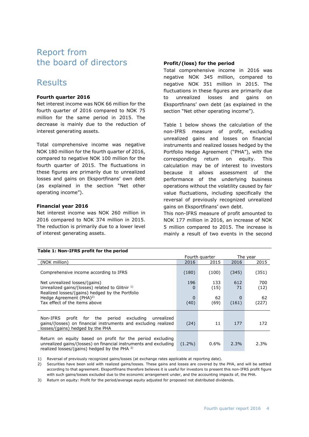## Report from the board of directors

## Results

#### **Fourth quarter 2016**

Net interest income was NOK 66 million for the fourth quarter of 2016 compared to NOK 75 million for the same period in 2015. The decrease is mainly due to the reduction of interest generating assets.

Total comprehensive income was negative NOK 180 million for the fourth quarter of 2016, compared to negative NOK 100 million for the fourth quarter of 2015. The fluctuations in these figures are primarily due to unrealized losses and gains on Eksportfinans' own debt (as explained in the section "Net other operating income").

#### **Financial year 2016**

Net interest income was NOK 260 million in 2016 compared to NOK 374 million in 2015. The reduction is primarily due to a lower level of interest generating assets.

**Table 1: Non-IFRS profit for the period**

#### **Profit/(loss) for the period**

Total comprehensive income in 2016 was negative NOK 345 million, compared to negative NOK 351 million in 2015. The fluctuations in these figures are primarily due to unrealized losses and gains on Eksportfinans' own debt (as explained in the section "Net other operating income").

Table 1 below shows the calculation of the non-IFRS measure of profit, excluding unrealized gains and losses on financial instruments and realized losses hedged by the Portfolio Hedge Agreement ("PHA"), with the corresponding return on equity. This calculation may be of interest to investors because it allows assessment of the performance of the underlying business operations without the volatility caused by fair value fluctuations, including specifically the reversal of previously recognized unrealized gains on Eksportfinans' own debt.

This non-IFRS measure of profit amounted to NOK 177 million in 2016, an increase of NOK 5 million compared to 2015. The increase is mainly a result of two events in the second

| <b>HOUGHT INDIA INDIANAL IOF CHC DUITOU</b>                                                                                                                                   |                     |                |            |             |
|-------------------------------------------------------------------------------------------------------------------------------------------------------------------------------|---------------------|----------------|------------|-------------|
|                                                                                                                                                                               |                     | Fourth quarter |            | The year    |
| (NOK million)                                                                                                                                                                 | 2016                | 2015           | 2016       | 2015        |
| Comprehensive income according to IFRS                                                                                                                                        | (180)               | (100)          | (345)      | (351)       |
| Net unrealized losses/(gains)<br>Unrealized gains/(losses) related to Glitnir $1$ )<br>Realized losses/(gains) hedged by the Portfolio                                        | 196<br>$\Omega$     | 133<br>(15)    | 612<br>71  | 700<br>(12) |
| Hedge Agreement (PHA) <sup>2)</sup><br>Tax effect of the items above                                                                                                          | $\mathbf 0$<br>(40) | 62<br>(69)     | 0<br>(161) | 62<br>(227) |
| profit for the period excluding unrealized<br>Non-IFRS<br>gains/(losses) on financial instruments and excluding realized<br>losses/(gains) hedged by the PHA                  | (24)                | 11             | 177        | 172         |
| Return on equity based on profit for the period excluding<br>unrealized gains/(losses) on financial instruments and excluding<br>realized losses/(gains) hedged by the PHA 3) | $(1.2\%)$           | $0.6\%$        | 2.3%       | 2.3%        |

1) Reversal of previously recognized gains/losses (at exchange rates applicable at reporting date).

2) Securities have been sold with realized gains/losses. These gains and losses are covered by the PHA, and will be settled according to that agreement. Eksportfinans therefore believes it is useful for investors to present this non-IFRS profit figure with such gains/losses excluded due to the economic arrangement under, and the accounting impacts of, the PHA.

3) Return on equity: Profit for the period/average equity adjusted for proposed not distributed dividends.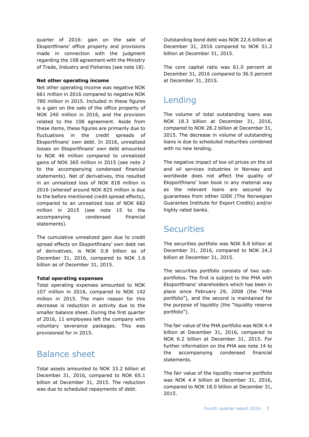quarter of 2016: gain on the sale of Eksportfinans' office property and provisions made in connection with the judgment regarding the 108 agreement with the Ministry of Trade, Industry and Fisheries (see note 18).

#### **Net other operating income**

Net other operating income was negative NOK 661 million in 2016 compared to negative NOK 780 million in 2015. Included in these figures is a gain on the sale of the office property of NOK 240 million in 2016, and the provision related to the 108 agreement. Aside from these items, these figures are primarily due to fluctuations in the credit spreads of Eksportfinans' own debt. In 2016, unrealized losses on Eksportfinans' own debt amounted to NOK 46 million compared to unrealized gains of NOK 365 million in 2015 (see note 2 to the accompanying condensed financial statements). Net of derivatives, this resulted in an unrealized loss of NOK 818 million in 2016 (whereof around NOK 825 million is due to the before mentioned credit spread effects), compared to an unrealized loss of NOK 682 million in 2015 (see note 15 to the accompanying condensed financial statements).

The cumulative unrealized gain due to credit spread effects on Eksportfinans' own debt net of derivatives, is NOK 0.8 billion as of December 31, 2016, compared to NOK 1.6 billion as of December 31, 2015.

#### **Total operating expenses**

Total operating expenses amounted to NOK 107 million in 2016, compared to NOK 142 million in 2015. The main reason for this decrease is reduction in activity due to the smaller balance sheet. During the first quarter of 2016, 11 employees left the company with voluntary severance packages. This was provisioned for in 2015.

## Balance sheet

Total assets amounted to NOK 33.2 billion at December 31, 2016, compared to NOK 65.1 billion at December 31, 2015. The reduction was due to scheduled repayments of debt.

Outstanding bond debt was NOK 22.6 billion at December 31, 2016 compared to NOK 51.2 billion at December 31, 2015.

The core capital ratio was 61.0 percent at December 31, 2016 compared to 36.5 percent at December 31, 2015.

## Lending

The volume of total outstanding loans was NOK 18.3 billion at December 31, 2016, compared to NOK 28.2 billion at December 31, 2015. The decrease in volume of outstanding loans is due to scheduled maturities combined with no new lending.

The negative impact of low oil prices on the oil and oil services industries in Norway and worldwide does not affect the quality of Eksportfinans' loan book in any material way as the relevant loans are secured by guarantees from either GIEK (The Norwegian Guarantee Institute for Export Credits) and/or highly rated banks.

## **Securities**

The securities portfolio was NOK 8.8 billion at December 31, 2016, compared to NOK 24.2 billion at December 31, 2015.

The securities portfolio consists of two subportfolios. The first is subject to the PHA with Eksportfinans' shareholders which has been in place since February 29, 2008 (the "PHA portfolio"), and the second is maintained for the purpose of liquidity (the "liquidity reserve portfolio").

The fair value of the PHA portfolio was NOK 4.4 billion at December 31, 2016, compared to NOK 6.2 billion at December 31, 2015. For further information on the PHA see note 14 to the accompanying condensed financial statements.

The fair value of the liquidity reserve portfolio was NOK 4.4 billion at December 31, 2016, compared to NOK 18.0 billion at December 31, 2015.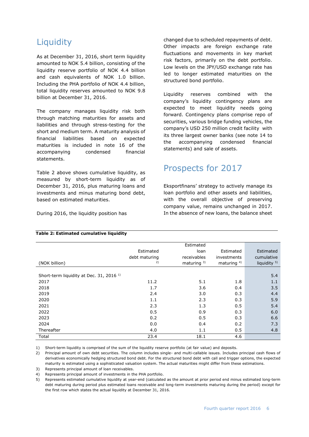## **Liquidity**

As at December 31, 2016, short term liquidity amounted to NOK 5.4 billion, consisting of the liquidity reserve portfolio of NOK 4.4 billion and cash equivalents of NOK 1.0 billion. Including the PHA portfolio of NOK 4.4 billion, total liquidity reserves amounted to NOK 9.8 billion at December 31, 2016.

The company manages liquidity risk both through matching maturities for assets and liabilities and through stress-testing for the short and medium term. A maturity analysis of financial liabilities based on expected maturities is included in note 16 of the accompanying condensed financial statements.

Table 2 above shows cumulative liquidity, as measured by short-term liquidity as of December 31, 2016, plus maturing loans and investments and minus maturing bond debt, based on estimated maturities.

During 2016, the liquidity position has

changed due to scheduled repayments of debt. Other impacts are foreign exchange rate fluctuations and movements in key market risk factors, primarily on the debt portfolio. Low levels on the JPY/USD exchange rate has led to longer estimated maturities on the structured bond portfolio.

Liquidity reserves combined with the company's liquidity contingency plans are expected to meet liquidity needs going forward. Contingency plans comprise repo of securities, various bridge funding vehicles, the company's USD 250 million credit facility with its three largest owner banks (see note 14 to the accompanying condensed financial statements) and sale of assets.

## Prospects for 2017

Eksportfinans' strategy to actively manage its loan portfolio and other assets and liabilities, with the overall objective of preserving company value, remains unchanged in 2017. In the absence of new loans, the balance sheet

|                                                    |               | Estimated      |                |                         |
|----------------------------------------------------|---------------|----------------|----------------|-------------------------|
|                                                    | Estimated     | loan           | Estimated      | Estimated               |
|                                                    | debt maturing | receivables    | investments    | cumulative              |
| (NOK billion)                                      | 2)            | maturing $3$ ) | maturing $4$ ) | liquidity <sup>5)</sup> |
|                                                    |               |                |                |                         |
| Short-term liquidity at Dec. 31, 2016 <sup>1</sup> |               |                |                | 5.4                     |
| 2017                                               | 11.2          | 5.1            | 1.8            | 1.1                     |
| 2018                                               | 1.7           | 3.6            | 0.4            | 3.5                     |
| 2019                                               | 2.4           | 3.0            | 0.3            | 4.4                     |
| 2020                                               | 1.1           | 2.3            | 0.3            | 5.9                     |
| 2021                                               | 2.3           | 1.3            | 0.5            | 5.4                     |
| 2022                                               | 0.5           | 0.9            | 0.3            | 6.0                     |
| 2023                                               | 0.2           | 0.5            | 0.3            | 6.6                     |
| 2024                                               | 0.0           | 0.4            | 0.2            | 7.3                     |
| Thereafter                                         | 4.0           | 1.1            | 0.5            | 4.8                     |
| Total                                              | 23.4          | 18.1           | 4.6            |                         |

#### **Table 2: Estimated cumulative liquidity**

1) Short-term liquidity is comprised of the sum of the liquidity reserve portfolio (at fair value) and deposits.

2) Principal amount of own debt securities. The column includes single- and multi-callable issues. Includes principal cash flows of derivatives economically hedging structured bond debt. For the structured bond debt with call and trigger options, the expected maturity is estimated using a sophisticated valuation system. The actual maturities might differ from these estimations.

3) Represents principal amount of loan receivables.

4) Represents principal amount of investments in the PHA portfolio.

5) Represents estimated cumulative liquidity at year-end (calculated as the amount at prior period end minus estimated long-term debt maturing during period plus estimated loans receivable and long-term investments maturing during the period) except for the first row which states the actual liquidity at December 31, 2016.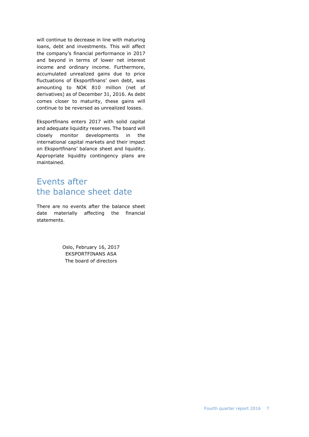will continue to decrease in line with maturing loans, debt and investments. This will affect the company's financial performance in 2017 and beyond in terms of lower net interest income and ordinary income. Furthermore, accumulated unrealized gains due to price fluctuations of Eksportfinans' own debt, was amounting to NOK 810 million (net of derivatives) as of December 31, 2016. As debt comes closer to maturity, these gains will continue to be reversed as unrealized losses.

Eksportfinans enters 2017 with solid capital and adequate liquidity reserves. The board will closely monitor developments in the international capital markets and their impact on Eksportfinans' balance sheet and liquidity. Appropriate liquidity contingency plans are maintained.

## Events after the balance sheet date

There are no events after the balance sheet date materially affecting the financial statements.

> Oslo, February 16, 2017 EKSPORTFINANS ASA The board of directors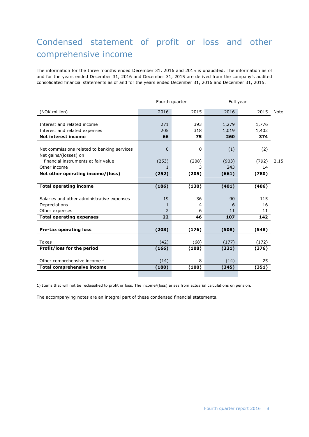## Condensed statement of profit or loss and other comprehensive income

The information for the three months ended December 31, 2016 and 2015 is unaudited. The information as of and for the years ended December 31, 2016 and December 31, 2015 are derived from the company's audited consolidated financial statements as of and for the years ended December 31, 2016 and December 31, 2015.

|                                             |               | Fourth quarter |       | Full year |      |
|---------------------------------------------|---------------|----------------|-------|-----------|------|
| (NOK million)                               | 2016          | 2015           | 2016  | 2015      | Note |
|                                             |               |                |       |           |      |
| Interest and related income                 | 271           | 393            | 1,279 | 1,776     |      |
| Interest and related expenses               | 205           | 318            | 1,019 | 1,402     |      |
| <b>Net interest income</b>                  | 66            | 75             | 260   | 374       |      |
| Net commissions related to banking services | 0             | 0              | (1)   | (2)       |      |
| Net gains/(losses) on                       |               |                |       |           |      |
| financial instruments at fair value         | (253)         | (208)          | (903) | (792)     | 2,15 |
| Other income                                |               | 3              | 243   | 14        |      |
| Net other operating income/(loss)           | (252)         | (205)          | (661) | (780)     |      |
|                                             |               |                |       |           |      |
| <b>Total operating income</b>               | (186)         | (130)          | (401) | (406)     |      |
|                                             |               |                |       |           |      |
| Salaries and other administrative expenses  | 19            | 36             | 90    | 115       |      |
| Depreciations                               |               | 4              | 6     | 16        |      |
| Other expenses                              | $\mathcal{P}$ | 6              | 11    | 11        |      |
| <b>Total operating expenses</b>             | 22            | 46             | 107   | 142       |      |
|                                             |               |                |       |           |      |
| <b>Pre-tax operating loss</b>               | (208)         | (176)          | (508) | (548)     |      |
|                                             |               |                |       |           |      |
| Taxes                                       | (42)          | (68)           | (177) | (172)     |      |
| Profit/loss for the period                  | (166)         | (108)          | (331) | (376)     |      |
|                                             |               |                |       |           |      |
| Other comprehensive income 1                | (14)          | 8              | (14)  | 25        |      |
| <b>Total comprehensive income</b>           | (180)         | (100)          | (345) | (351)     |      |
|                                             |               |                |       |           |      |

1) Items that will not be reclassified to profit or loss. The income/(loss) arises from actuarial calculations on pension.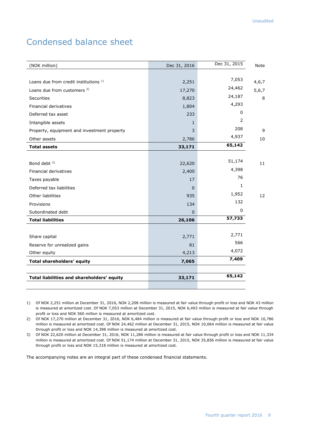## Condensed balance sheet

| (NOK million)                                    | Dec 31, 2016 | Dec 31, 2015   | Note  |
|--------------------------------------------------|--------------|----------------|-------|
|                                                  |              |                |       |
| Loans due from credit institutions <sup>1)</sup> | 2,251        | 7,053          | 4,6,7 |
| Loans due from customers <sup>2)</sup>           | 17,270       | 24,462         | 5,6,7 |
| <b>Securities</b>                                | 8,823        | 24,187         | 8     |
| Financial derivatives                            | 1,804        | 4,293          |       |
| Deferred tax asset                               | 233          | 0              |       |
| Intangible assets                                | $\mathbf{1}$ | $\overline{2}$ |       |
| Property, equipment and investment property      | 3            | 208            | 9     |
| Other assets                                     | 2,786        | 4,937          | 10    |
| <b>Total assets</b>                              | 33,171       | 65,142         |       |
|                                                  |              |                |       |
| Bond debt <sup>3)</sup>                          | 22,620       | 51,174         | 11    |
| Financial derivatives                            | 2,400        | 4,398          |       |
| Taxes payable                                    | 17           | 76             |       |
| Deferred tax liabilities                         | $\Omega$     | $\mathbf{1}$   |       |
| Other liabilities                                | 935          | 1,952          | 12    |
| Provisions                                       | 134          | 132            |       |
| Subordinated debt                                | $\Omega$     | $\mathbf 0$    |       |
| <b>Total liabilities</b>                         | 26,106       | 57,733         |       |
|                                                  |              |                |       |
| Share capital                                    | 2,771        | 2,771          |       |
| Reserve for unrealized gains                     | 81           | 566            |       |
| Other equity                                     | 4,213        | 4,072          |       |
| Total shareholders' equity                       | 7,065        | 7,409          |       |
|                                                  |              |                |       |
| Total liabilities and shareholders' equity       | 33,171       | 65,142         |       |
|                                                  |              |                |       |
|                                                  |              |                |       |

1) Of NOK 2,251 million at December 31, 2016, NOK 2,208 million is measured at fair value through profit or loss and NOK 43 million is measured at amortized cost. Of NOK 7,053 million at December 31, 2015, NOK 6,493 million is measured at fair value through profit or loss and NOK 560 million is measured at amortized cost.

2) Of NOK 17,270 million at December 31, 2016, NOK 6,484 million is measured at fair value through profit or loss and NOK 10,786 million is measured at amortized cost. Of NOK 24,462 million at December 31, 2015, NOK 10,064 million is measured at fair value through profit or loss and NOK 14,398 million is measured at amortized cost.

3) Of NOK 22,620 million at December 31, 2016, NOK 11,286 million is measured at fair value through profit or loss and NOK 11,334 million is measured at amortized cost. Of NOK 51,174 million at December 31, 2015, NOK 35,856 million is measured at fair value through profit or loss and NOK 15,318 million is measured at amortized cost.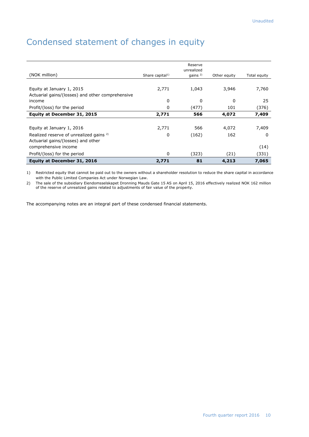## Condensed statement of changes in equity

| (NOK million)                                      | Share capital <sup>1)</sup> | Reserve<br>unrealized<br>gains $2$ | Other equity | Total equity |
|----------------------------------------------------|-----------------------------|------------------------------------|--------------|--------------|
|                                                    |                             |                                    |              |              |
| Equity at January 1, 2015                          | 2,771                       | 1,043                              | 3,946        | 7,760        |
| Actuarial gains/(losses) and other comprehensive   |                             |                                    |              |              |
| income                                             | 0                           | 0                                  | 0            | 25           |
| Profit/(loss) for the period                       | 0                           | (477)                              | 101          | (376)        |
| Equity at December 31, 2015                        | 2,771                       | 566                                | 4,072        | 7,409        |
|                                                    |                             |                                    |              |              |
| Equity at January 1, 2016                          | 2,771                       | 566                                | 4,072        | 7,409        |
| Realized reserve of unrealized gains <sup>2)</sup> | 0                           | (162)                              | 162          | 0            |
| Actuarial gains/(losses) and other                 |                             |                                    |              |              |
| comprehensive income                               |                             |                                    |              | (14)         |
| Profit/(loss) for the period                       | 0                           | (323)                              | (21)         | (331)        |
| Equity at December 31, 2016                        | 2,771                       | 81                                 | 4,213        | 7,065        |

1) Restricted equity that cannot be paid out to the owners without a shareholder resolution to reduce the share capital in accordance with the Public Limited Companies Act under Norwegian Law.

2) The sale of the subsidiary Eiendomsselskapet Dronning Mauds Gate 15 AS on April 15, 2016 effectively realized NOK 162 million of the reserve of unrealized gains related to adjustments of fair value of the property.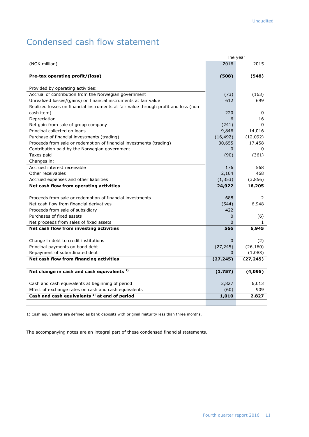## Condensed cash flow statement

|                                                                                     | The year     |           |
|-------------------------------------------------------------------------------------|--------------|-----------|
| (NOK million)                                                                       | 2016         | 2015      |
|                                                                                     |              |           |
| Pre-tax operating profit/(loss)                                                     | (508)        | (548)     |
|                                                                                     |              |           |
| Provided by operating activities:                                                   |              |           |
| Accrual of contribution from the Norwegian government                               | (73)         | (163)     |
| Unrealized losses/(gains) on financial instruments at fair value                    | 612          | 699       |
| Realized losses on financial instruments at fair value through profit and loss (non |              |           |
| cash item)                                                                          | 220          | 0         |
| Depreciation                                                                        | 6            | 16        |
| Net gain from sale of group company                                                 | (241)        | $\Omega$  |
| Principal collected on loans                                                        | 9,846        | 14,016    |
| Purchase of financial investments (trading)                                         | (16, 492)    | (12,092)  |
| Proceeds from sale or redemption of financial investments (trading)                 | 30,655       | 17,458    |
| Contribution paid by the Norwegian government                                       | 0            | 0         |
| Taxes paid                                                                          | (90)         | (361)     |
| Changes in:                                                                         |              |           |
| Accrued interest receivable                                                         | 176          | 568       |
| Other receivables                                                                   | 2,164        | 468       |
| Accrued expenses and other liabilities                                              | (1, 353)     | (3,856)   |
| Net cash flow from operating activities                                             | 24,922       | 16,205    |
|                                                                                     |              |           |
| Proceeds from sale or redemption of financial investments                           | 688          | 2         |
| Net cash flow from financial derivatives                                            | (544)        | 6,948     |
| Proceeds from sale of subsidiary                                                    | 422          |           |
| Purchases of fixed assets                                                           | $\Omega$     | (6)       |
| Net proceeds from sales of fixed assets                                             | <sup>0</sup> | 1.        |
| Net cash flow from investing activities                                             | 566          | 6,945     |
|                                                                                     |              |           |
| Change in debt to credit institutions                                               | $\mathbf{0}$ | (2)       |
| Principal payments on bond debt                                                     | (27, 245)    | (26, 160) |
| Repayment of subordinated debt                                                      | 0            | (1,083)   |
| Net cash flow from financing activities                                             | (27, 245)    | (27, 245) |
|                                                                                     |              |           |
| Net change in cash and cash equivalents <sup>1)</sup>                               | (1,757)      | (4,095)   |
|                                                                                     |              |           |
| Cash and cash equivalents at beginning of period                                    | 2,827        | 6,013     |
| Effect of exchange rates on cash and cash equivalents                               | (60)         | 909       |
| Cash and cash equivalents <sup>1)</sup> at end of period                            | 1,010        | 2,827     |
|                                                                                     |              |           |

1) Cash equivalents are defined as bank deposits with original maturity less than three months.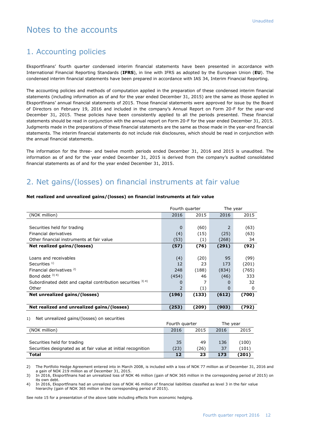## Notes to the accounts

#### 1. Accounting policies

Eksportfinans' fourth quarter condensed interim financial statements have been presented in accordance with International Financial Reporting Standards (**IFRS**), in line with IFRS as adopted by the European Union (**EU**). The condensed interim financial statements have been prepared in accordance with IAS 34, Interim Financial Reporting.

The accounting policies and methods of computation applied in the preparation of these condensed interim financial statements (including information as of and for the year ended December 31, 2015) are the same as those applied in Eksportfinans' annual financial statements of 2015. Those financial statements were approved for issue by the Board of Directors on February 19, 2016 and included in the company's Annual Report on Form 20-F for the year-end December 31, 2015. These policies have been consistently applied to all the periods presented. These financial statements should be read in conjunction with the annual report on Form 20-F for the year ended December 31, 2015. Judgments made in the preparations of these financial statements are the same as those made in the year-end financial statements. The interim financial statements do not include risk disclosures, which should be read in conjunction with the annual financial statements.

The information for the three- and twelve month periods ended December 31, 2016 and 2015 is unaudited. The information as of and for the year ended December 31, 2015 is derived from the company's audited consolidated financial statements as of and for the year ended December 31, 2015.

## 2. Net gains/(losses) on financial instruments at fair value

## **Net realized and unrealized gains/(losses) on financial instruments at fair value**

|                                                               | Fourth quarter |       | The year |       |
|---------------------------------------------------------------|----------------|-------|----------|-------|
| (NOK million)                                                 | 2016           | 2015  | 2016     | 2015  |
|                                                               |                |       |          |       |
| Securities held for trading                                   | 0              | (60)  | 2        | (63)  |
| Financial derivatives                                         | (4)            | (15)  | (25)     | (63)  |
| Other financial instruments at fair value                     | (53)           | (1)   | (268)    | 34    |
| Net realized gains/(losses)                                   | (57)           | (76)  | (291)    | (92)  |
|                                                               |                |       |          |       |
| Loans and receivables                                         | (4)            | (20)  | 95       | (99)  |
| Securities $1$                                                | 12             | 23    | 173      | (201) |
| Financial derivatives <sup>2)</sup>                           | 248            | (188) | (834)    | (765) |
| Bond debt $3)$ 4)                                             | (454)          | 46    | (46)     | 333   |
| Subordinated debt and capital contribution securities $3)$ 4) | 0              |       | 0        | 32    |
| Other                                                         | 2              | (1)   | 0        | 0     |
| Net unrealized gains/(losses)                                 | (196)          | (133) | (612)    | (700) |
|                                                               |                |       |          |       |
| Net realized and unrealized gains/(losses)                    | (253)          | (209) | (903)    | (792) |

#### 1) Net unrealized gains/(losses) on securities

|                                                               | Fourth quarter |      |      | The vear |
|---------------------------------------------------------------|----------------|------|------|----------|
| (NOK million)                                                 | 2016           | 2015 | 2016 | 2015     |
|                                                               |                |      |      |          |
| Securities held for trading                                   | 35             | 49   | 136  | (100)    |
| Securities designated as at fair value at initial recognition | (23)           | (26) | 37   | (101)    |
| Total                                                         | 12             | 23   | 173  | (201)    |

2) The Portfolio Hedge Agreement entered into in March 2008, is included with a loss of NOK 77 million as of December 31, 2016 and a gain of NOK 219 million as of December 31, 2015

3) In 2016, Eksportfinans had an unrealized loss of NOK 46 million (gain of NOK 365 million in the corresponding period of 2015) on its own debt.

4) In 2016, Eksportfinans had an unrealized loss of NOK 46 million of financial liabilities classified as level 3 in the fair value hierarchy (gain of NOK 365 million in the corresponding period of 2015).

See note 15 for a presentation of the above table including effects from economic hedging.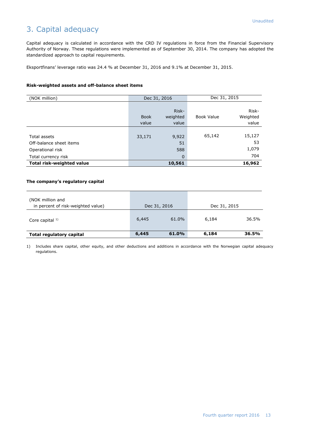## 3. Capital adequacy

Capital adequacy is calculated in accordance with the CRD IV regulations in force from the Financial Supervisory Authority of Norway. These regulations were implemented as of September 30, 2014. The company has adopted the standardized approach to capital requirements.

Eksportfinans' leverage ratio was 24.4 % at December 31, 2016 and 9.1% at December 31, 2015.

#### **Risk-weighted assets and off-balance sheet items**

| (NOK million)                                                                      | Dec 31, 2016         |                                   |            | Dec 31, 2015                 |
|------------------------------------------------------------------------------------|----------------------|-----------------------------------|------------|------------------------------|
|                                                                                    | <b>Book</b><br>value | Risk-<br>weighted<br>value        | Book Value | Risk-<br>Weighted<br>value   |
| Total assets<br>Off-balance sheet items<br>Operational risk<br>Total currency risk | 33,171               | 9,922<br>51<br>588<br>$\mathbf 0$ | 65,142     | 15,127<br>53<br>1,079<br>704 |
| Total risk-weighted value                                                          |                      | 10,561                            |            | 16,962                       |

#### **The company's regulatory capital**

| (NOK million and<br>in percent of risk-weighted value) |       | Dec 31, 2016 | Dec 31, 2015 |       |
|--------------------------------------------------------|-------|--------------|--------------|-------|
| Core capital $1$ )                                     | 6,445 | 61.0%        | 6,184        | 36.5% |
| Total regulatory capital                               | 6,445 | 61.0%        | 6,184        | 36.5% |

1) Includes share capital, other equity, and other deductions and additions in accordance with the Norwegian capital adequacy regulations.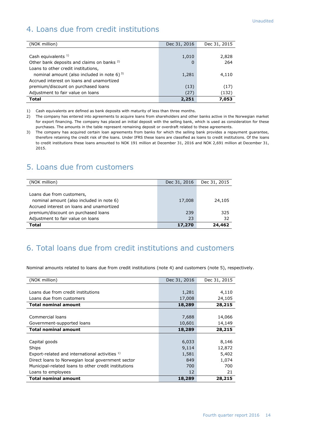## 4. Loans due from credit institutions

| (NOK million)                                         | Dec 31, 2016 | Dec 31, 2015 |
|-------------------------------------------------------|--------------|--------------|
|                                                       |              |              |
| Cash equivalents $1$ )                                | 1,010        | 2,828        |
| Other bank deposits and claims on banks <sup>2)</sup> | 0            | 264          |
| Loans to other credit institutions,                   |              |              |
| nominal amount (also included in note 6) $^{3}$       | 1,281        | 4,110        |
| Accrued interest on loans and unamortized             |              |              |
| premium/discount on purchased loans                   | (13)         | (17)         |
| Adjustment to fair value on loans                     | (27)         | (132)        |
| <b>Total</b>                                          | 2,251        | 7,053        |

1) Cash equivalents are defined as bank deposits with maturity of less than three months.

2) The company has entered into agreements to acquire loans from shareholders and other banks active in the Norwegian market for export financing. The company has placed an initial deposit with the selling bank, which is used as consideration for these purchases. The amounts in the table represent remaining deposit or overdraft related to these agreements.

3) The company has acquired certain loan agreements from banks for which the selling bank provides a repayment guarantee, therefore retaining the credit risk of the loans. Under IFRS these loans are classified as loans to credit institutions. Of the loans to credit institutions these loans amounted to NOK 191 million at December 31, 2016 and NOK 2,691 million at December 31, 2015.

#### 5. Loans due from customers

| (NOK million)                             | Dec 31, 2016 | Dec 31, 2015 |
|-------------------------------------------|--------------|--------------|
|                                           |              |              |
| Loans due from customers,                 |              |              |
| nominal amount (also included in note 6)  | 17,008       | 24,105       |
| Accrued interest on loans and unamortized |              |              |
| premium/discount on purchased loans       | 239          | 325          |
| Adjustment to fair value on loans         | 23           | 32           |
| Total                                     | 17,270       | 24,462       |

## 6. Total loans due from credit institutions and customers

Nominal amounts related to loans due from credit institutions (note 4) and customers (note 5), respectively.

| (NOK million)                                             | Dec 31, 2016 | Dec 31, 2015 |
|-----------------------------------------------------------|--------------|--------------|
|                                                           |              |              |
| Loans due from credit institutions                        | 1,281        | 4,110        |
| Loans due from customers                                  | 17,008       | 24,105       |
| <b>Total nominal amount</b>                               | 18,289       | 28,215       |
|                                                           |              |              |
| Commercial loans                                          | 7,688        | 14,066       |
| Government-supported loans                                | 10,601       | 14,149       |
| <b>Total nominal amount</b>                               | 18,289       | 28,215       |
|                                                           |              |              |
| Capital goods                                             | 6,033        | 8,146        |
| Ships                                                     | 9,114        | 12,872       |
| Export-related and international activities <sup>1)</sup> | 1,581        | 5,402        |
| Direct loans to Norwegian local government sector         | 849          | 1,074        |
| Municipal-related loans to other credit institutions      | 700          | 700          |
| Loans to employees                                        | 12           | 21           |
| <b>Total nominal amount</b>                               | 18,289       | 28,215       |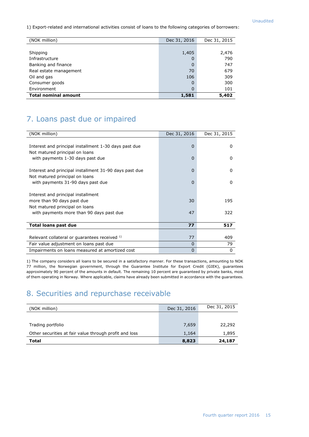1) Export-related and international activities consist of loans to the following categories of borrowers:

| (NOK million)               | Dec 31, 2016 | Dec 31, 2015 |
|-----------------------------|--------------|--------------|
|                             |              |              |
| Shipping                    | 1,405        | 2,476        |
| Infrastructure              | O            | 790          |
| Banking and finance         | O            | 747          |
| Real estate management      | 70           | 679          |
| Oil and gas                 | 106          | 309          |
| Consumer goods              | 0            | 300          |
| Environment                 | $\Omega$     | 101          |
| <b>Total nominal amount</b> | 1,581        | 5,402        |

## 7. Loans past due or impaired

| (NOK million)                                          | Dec 31, 2016 | Dec 31, 2015 |
|--------------------------------------------------------|--------------|--------------|
|                                                        |              |              |
| Interest and principal installment 1-30 days past due  | 0            | 0            |
| Not matured principal on loans                         |              |              |
| with payments 1-30 days past due                       | $\Omega$     | <sup>0</sup> |
|                                                        |              |              |
| Interest and principal installment 31-90 days past due | $\Omega$     | $\Omega$     |
| Not matured principal on loans                         |              |              |
| with payments 31-90 days past due                      | $\Omega$     | 0            |
|                                                        |              |              |
| Interest and principal installment                     |              |              |
| more than 90 days past due                             | 30           | 195          |
| Not matured principal on loans                         |              |              |
| with payments more than 90 days past due               | 47           | 322          |
|                                                        |              |              |
| <b>Total loans past due</b>                            | 77           | 517          |
|                                                        |              |              |
| Relevant collateral or guarantees received 1)          | 77           | 409          |
| Fair value adjustment on loans past due                | $\Omega$     | 79           |
| Impairments on loans measured at amortized cost        | 0            | 0            |

1) The company considers all loans to be secured in a satisfactory manner. For these transactions, amounting to NOK 77 million, the Norwegian government, through the Guarantee Institute for Export Credit (GIEK), guarantees approximately 90 percent of the amounts in default. The remaining 10 percent are guaranteed by private banks, most of them operating in Norway. Where applicable, claims have already been submitted in accordance with the guarantees.

## 8. Securities and repurchase receivable

| (NOK million)                                          | Dec 31, 2016 | Dec 31, 2015 |
|--------------------------------------------------------|--------------|--------------|
|                                                        |              |              |
| Trading portfolio                                      | 7,659        | 22,292       |
| Other securities at fair value through profit and loss | 1,164        | 1,895        |
| Total                                                  | 8,823        | 24,187       |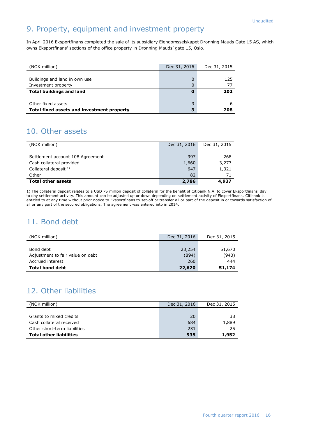## 9. Property, equipment and investment property

In April 2016 Eksportfinans completed the sale of its subsidiary Eiendomsselskapet Dronning Mauds Gate 15 AS, which owns Eksportfinans' sections of the office property in Dronning Mauds' gate 15, Oslo.

| (NOK million)                              | Dec 31, 2016 | Dec 31, 2015 |
|--------------------------------------------|--------------|--------------|
|                                            |              |              |
| Buildings and land in own use              |              | 125          |
| Investment property                        |              | 77           |
| <b>Total buildings and land</b>            |              | 202          |
|                                            |              |              |
| Other fixed assets                         |              |              |
| Total fixed assets and investment property |              | 208          |

## 10. Other assets

| (NOK million)                    | Dec 31, 2016 | Dec 31, 2015 |
|----------------------------------|--------------|--------------|
|                                  |              |              |
| Settlement account 108 Agreement | 397          | 268          |
| Cash collateral provided         | 1,660        | 3,277        |
| Collateral deposit $1$ )         | 647          | 1,321        |
| Other                            | 82           | 71           |
| <b>Total other assets</b>        | 2,786        | 4,937        |

1) The collateral deposit relates to a USD 75 million deposit of collateral for the benefit of Citibank N.A. to cover Eksportfinans' day to day settlement activity. This amount can be adjusted up or down depending on settlement activity of Eksportfinans. Citibank is entitled to at any time without prior notice to Eksportfinans to set-off or transfer all or part of the deposit in or towards satisfaction of all or any part of the secured obligations. The agreement was entered into in 2014.

## 11. Bond debt

| (NOK million)                    | Dec 31, 2016 | Dec 31, 2015 |
|----------------------------------|--------------|--------------|
|                                  |              |              |
| Bond debt                        | 23,254       | 51,670       |
| Adjustment to fair value on debt | (894)        | (940)        |
| Accrued interest                 | 260          | 444          |
| <b>Total bond debt</b>           | 22,620       | 51,174       |

## 12. Other liabilities

| (NOK million)                  | Dec 31, 2016 | Dec 31, 2015 |
|--------------------------------|--------------|--------------|
|                                |              |              |
| Grants to mixed credits        | 20           | -38          |
| Cash collateral received       | 684          | 1,889        |
| Other short-term liabilities   | 231          | 25           |
| <b>Total other liabilities</b> | 935          | 1,952        |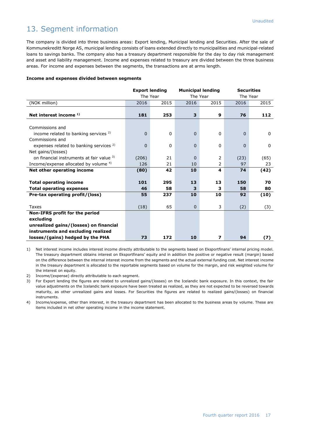## 13. Segment information

The company is divided into three business areas: Export lending, Municipal lending and Securities. After the sale of Kommunekreditt Norge AS, municipal lending consists of loans extended directly to municipalities and municipal-related loans to savings banks. The company also has a treasury department responsible for the day to day risk management and asset and liability management. Income and expenses related to treasury are divided between the three business areas. For income and expenses between the segments, the transactions are at arms length.

#### **Income and expenses divided between segments**

|                                                    | <b>Export lending</b> |          |          | <b>Municipal lending</b> | <b>Securities</b> |              |
|----------------------------------------------------|-----------------------|----------|----------|--------------------------|-------------------|--------------|
|                                                    | The Year              |          |          | The Year                 | The Year          |              |
| (NOK million)                                      | 2016                  | 2015     | 2016     | 2015                     | 2016              | 2015         |
|                                                    |                       |          |          |                          |                   |              |
| Net interest income 1)                             | 181                   | 253      | 3        | 9                        | 76                | 112          |
|                                                    |                       |          |          |                          |                   |              |
| Commissions and                                    |                       |          |          |                          |                   |              |
| income related to banking services $2$ )           | $\Omega$              | $\Omega$ | $\Omega$ | $\Omega$                 | $\Omega$          | $\mathbf{0}$ |
| Commissions and                                    |                       |          |          |                          |                   |              |
| expenses related to banking services <sup>2)</sup> | 0                     | $\Omega$ | $\Omega$ | $\Omega$                 | $\Omega$          | $\Omega$     |
| Net gains/(losses)                                 |                       |          |          |                          |                   |              |
| on financial instruments at fair value 3)          | (206)                 | 21       | $\Omega$ | 2                        | (23)              | (65)         |
| Income/expense allocated by volume <sup>4)</sup>   | 126                   | 21       | 10       | 2                        | 97                | 23           |
| Net other operating income                         | (80)                  | 42       | 10       | 4                        | 74                | (42)         |
|                                                    |                       |          |          |                          |                   |              |
| <b>Total operating income</b>                      | 101                   | 295      | 13       | 13                       | 150               | 70           |
| <b>Total operating expenses</b>                    | 46                    | 58       | 3        | з                        | 58                | 80           |
| Pre-tax operating profit/(loss)                    | 55                    | 237      | 10       | 10                       | 92                | (10)         |
|                                                    |                       |          |          |                          |                   |              |
| Taxes                                              | (18)                  | 65       | $\Omega$ | 3                        | (2)               | (3)          |
| Non-IFRS profit for the period                     |                       |          |          |                          |                   |              |
| excluding                                          |                       |          |          |                          |                   |              |
| unrealized gains/(losses) on financial             |                       |          |          |                          |                   |              |
| instruments and excluding realized                 |                       |          |          |                          |                   |              |
| losses/(gains) hedged by the PHA                   | 73                    | 172      | 10       | 7                        | 94                | (7)          |

1) Net interest income includes interest income directly attributable to the segments based on Eksportfinans' internal pricing model. The treasury department obtains interest on Eksportfinans' equity and in addition the positive or negative result (margin) based on the difference between the internal interest income from the segments and the actual external funding cost. Net interest income in the treasury department is allocated to the reportable segments based on volume for the margin, and risk weighted volume for the interest on equity.

2) Income/(expense) directly attributable to each segment.

3) For Export lending the figures are related to unrealized gains/(losses) on the Icelandic bank exposure. In this context, the fair value adjustments on the Icelandic bank exposure have been treated as realized, as they are not expected to be reversed towards maturity, as other unrealized gains and losses. For Securities the figures are related to realized gains/(losses) on financial instruments.

4) Income/expense, other than interest, in the treasury department has been allocated to the business areas by volume. These are items included in net other operating income in the income statement.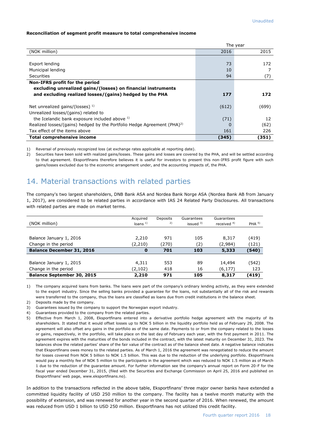#### **Reconciliation of segment profit measure to total comprehensive income**

|                                                                                     |       | The year |
|-------------------------------------------------------------------------------------|-------|----------|
| (NOK million)                                                                       | 2016  | 2015     |
|                                                                                     |       |          |
| Export lending                                                                      | 73    | 172      |
| Municipal lending                                                                   | 10    |          |
| Securities                                                                          | 94    | (7)      |
| Non-IFRS profit for the period                                                      |       |          |
| excluding unrealized gains/(losses) on financial instruments                        |       |          |
| and excluding realized losses/(gains) hedged by the PHA                             | 177   | 172      |
| Net unrealized gains/(losses) $^{1}$ )                                              | (612) | (699)    |
| Unrealized losses/(gains) related to                                                |       |          |
| the Icelandic bank exposure included above 1)                                       | (71)  | 12       |
| Realized losses/(gains) hedged by the Portfolio Hedge Agreement (PHA) <sup>2)</sup> |       | (62)     |
| Tax effect of the items above                                                       | 161   | 226      |
| <b>Total comprehensive income</b>                                                   | (345) | (351)    |

1) Reversal of previously recognized loss (at exchange rates applicable at reporting date).

2) Securities have been sold with realized gains/losses. These gains and losses are covered by the PHA, and will be settled according to that agreement. Eksportfinans therefore believes it is useful for investors to present this non-IFRS profit figure with such gains/losses excluded due to the economic arrangement under, and the accounting impacts of, the PHA.

#### 14. Material transactions with related parties

The company's two largest shareholders, DNB Bank ASA and Nordea Bank Norge ASA (Nordea Bank AB from January 1, 2017), are considered to be related parties in accordance with IAS 24 Related Party Disclosures. All transactions with related parties are made on market terms.

| (NOK million)                     | Acquired<br>loans $1$ | Deposits<br>2) | Guarantees<br>issued $3)$ | Guarantees<br>received $4$ ) | PHA <sup>5</sup> |
|-----------------------------------|-----------------------|----------------|---------------------------|------------------------------|------------------|
|                                   |                       |                |                           |                              |                  |
| Balance January 1, 2016           | 2,210                 | 971            | 105                       | 8,317                        | (419)            |
| Change in the period              | (2,210)               | (270)          | (2)                       | (2,984)                      | (121)            |
| <b>Balance December 31, 2016</b>  | 0                     | 701            | 103                       | 5,333                        | (540)            |
|                                   |                       |                |                           |                              |                  |
| Balance January 1, 2015           | 4,311                 | 553            | 89                        | 14,494                       | (542)            |
| Change in the period              | (2, 102)              | 418            | 16                        | (6, 177)                     | 123              |
| <b>Balance September 30, 2015</b> | 2,210                 | 971            | 105                       | 8,317                        | (419)            |

1) The company acquired loans from banks. The loans were part of the company's ordinary lending activity, as they were extended to the export industry. Since the selling banks provided a guarantee for the loans, not substantially all of the risk and rewards were transferred to the company, thus the loans are classified as loans due from credit institutions in the balance sheet.

- 2) Deposits made by the company.
- 3) Guarantees issued by the company to support the Norwegian export industry.
- 4) Guarantees provided to the company from the related parties.
- 5) Effective from March 1, 2008, Eksportfinans entered into a derivative portfolio hedge agreement with the majority of its shareholders. It stated that it would offset losses up to NOK 5 billion in the liquidity portfolio held as of February 29, 2008. The agreement will also offset any gains in the portfolio as of the same date. Payments to or from the company related to the losses or gains, respectively, in the portfolio, will take place on the last day of February each year, with the first payment in 2011. The agreement expires with the maturities of the bonds included in the contract, with the latest maturity on December 31, 2023. The balances show the related parties' share of the fair value of the contract as of the balance sheet date. A negative balance indicates that Eksportfinans owes money to the related parties. As of March 1, 2016 the agreement was renegotiated to reduce the amount for losses covered from NOK 5 billion to NOK 1.5 billion. This was due to the reduction of the underlying portfolio. Eksportfinans would pay a monthly fee of NOK 5 million to the participants in the agreement which was reduced to NOK 1.5 million as of March 1 due to the reduction of the guarantee amount. For further information see the company's annual report on Form 20-F for the fiscal year ended December 31, 2015, (filed with the Securities and Exchange Commission on April 25, 2016 and published on Eksportfinans' web page, [www.eksportfinans.no\)](http://www.eksportfinans.no/).

In addition to the transactions reflected in the above table, Eksportfinans' three major owner banks have extended a committed liquidity facility of USD 250 million to the company. The facility has a twelve month maturity with the possibility of extension, and was renewed for another year in the second quarter of 2016. When renewed, the amount was reduced from USD 1 billion to USD 250 million. Eksportfinans has not utilized this credit facility.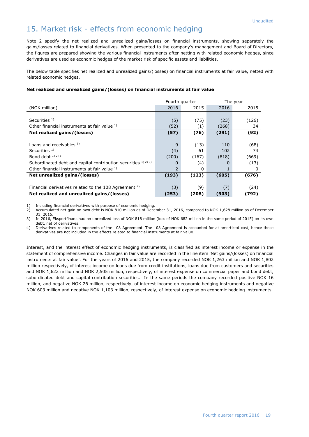## 15. Market risk - effects from economic hedging

Note 2 specify the net realized and unrealized gains/losses on financial instruments, showing separately the gains/losses related to financial derivatives. When presented to the company's management and Board of Directors, the figures are prepared showing the various financial instruments after netting with related economic hedges, since derivatives are used as economic hedges of the market risk of specific assets and liabilities.

The below table specifies net realized and unrealized gains/(losses) on financial instruments at fair value, netted with related economic hedges.

#### **Net realized and unrealized gains/(losses) on financial instruments at fair value**

|                                                                |               | Fourth quarter |       | The year |
|----------------------------------------------------------------|---------------|----------------|-------|----------|
| (NOK million)                                                  | 2016          | 2015           | 2016  | 2015     |
|                                                                |               |                |       |          |
| Securities $1$ )                                               | (5)           | (75)           | (23)  | (126)    |
| Other financial instruments at fair value 1)                   | (52)          | (1)            | (268) | 34       |
| Net realized gains/(losses)                                    | (57)          | (76)           | (291) | (92)     |
|                                                                |               |                |       |          |
| Loans and receivables $1$ )                                    | 9             | (13)           | 110   | (68)     |
| Securities <sup>1)</sup>                                       | (4)           | 61             | 102   | 74       |
| Bond debt $(1)$ $(2)$ $(3)$                                    | (200)         | (167)          | (818) | (669)    |
| Subordinated debt and capital contribution securities 1) 2) 3) | 0             | (4)            | O     | (13)     |
| Other financial instruments at fair value 1)                   | $\mathcal{P}$ | 0              |       | 0        |
| Net unrealized gains/(losses)                                  | (193)         | (123)          | (605) | (676)    |
|                                                                |               |                |       |          |
| Financial derivatives related to the 108 Agreement $4$ )       | (3)           | (9)            | (7)   | (24)     |
| Net realized and unrealized gains/(losses)                     | (253)         | (208)          | (903) | (792)    |

1) Including financial derivatives with purpose of economic hedging.<br>2) Accumulated net gain on own debt is NOK 810 million as of Dece

2) Accumulated net gain on own debt is NOK 810 million as of December 31, 2016, compared to NOK 1,628 million as of December 31, 2015.

3) In 2016, Eksportfinans had an unrealized loss of NOK 818 million (loss of NOK 682 million in the same period of 2015) on its own debt, net of derivatives.

4) Derivatives related to components of the 108 Agreement. The 108 Agreement is accounted for at amortized cost, hence these derivatives are not included in the effects related to financial instruments at fair value.

Interest, and the interest effect of economic hedging instruments, is classified as interest income or expense in the statement of comprehensive income. Changes in fair value are recorded in the line item 'Net gains/(losses) on financial instruments at fair value'. For the years of 2016 and 2015, the company recorded NOK 1,263 million and NOK 1,802 million respectively, of interest income on loans due from credit institutions, loans due from customers and securities and NOK 1,622 million and NOK 2,505 million, respectively, of interest expense on commercial paper and bond debt, subordinated debt and capital contribution securities. In the same periods the company recorded positive NOK 16 million, and negative NOK 26 million, respectively, of interest income on economic hedging instruments and negative NOK 603 million and negative NOK 1,103 million, respectively, of interest expense on economic hedging instruments.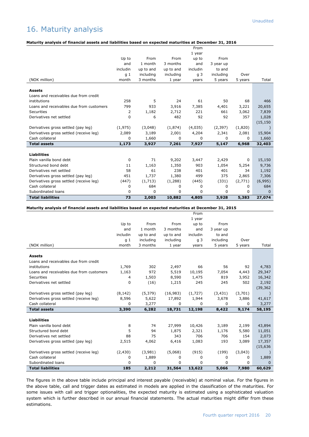## 16. Maturity analysis

#### **Maturity analysis of financial assets and liabilities based on expected maturities at December 31, 2016**

|                                          |                |             |           | From           |             |         |           |
|------------------------------------------|----------------|-------------|-----------|----------------|-------------|---------|-----------|
|                                          |                |             |           | 1 year         |             |         |           |
|                                          | Up to          | From        | From      | up to          | From        |         |           |
|                                          | and            | 1 month     | 3 months  | and            | 3 year up   |         |           |
|                                          | includin       | up to and   | up to and | includin       | to and      |         |           |
|                                          | q <sub>1</sub> | including   | including | q <sub>3</sub> | including   | Over    |           |
| (NOK million)                            | month          | 3 months    | 1 year    | years          | 5 years     | 5 years | Total     |
|                                          |                |             |           |                |             |         |           |
| <b>Assets</b>                            |                |             |           |                |             |         |           |
| Loans and receivables due from credit    |                |             |           |                |             |         |           |
| institutions                             | 258            | 5           | 24        | 61             | 50          | 68      | 466       |
| Loans and receivables due from customers | 799            | 933         | 3,916     | 7,385          | 4,401       | 3,221   | 20,655    |
| Securities                               | 2              | 1,182       | 2,712     | 221            | 661         | 3,062   | 7,839     |
| Derivatives net settled                  | 0              | 6           | 482       | 92             | 92          | 357     | 1,028     |
|                                          |                |             |           |                |             |         | (15, 150) |
| Derivatives gross settled (pay leg)      | (1,975)        | (3,048)     | (1,874)   | (4,035)        | (2, 397)    | (1,820) |           |
| Derivatives gross settled (receive leg)  | 2,089          | 3,189       | 2,001     | 4,204          | 2,341       | 2,081   | 15,904    |
| Cash collateral                          | 0              | 1,660       | 0         | 0              | $\mathbf 0$ | 0       | 1,660     |
| <b>Total assets</b>                      | 1,173          | 3,927       | 7,261     | 7,927          | 5,147       | 6,968   | 32,403    |
|                                          |                |             |           |                |             |         |           |
| <b>Liabilities</b>                       |                |             |           |                |             |         |           |
| Plain vanilla bond debt                  | 0              | 71          | 9,202     | 3,447          | 2,429       | 0       | 15,150    |
| Structured bond debt                     | 11             | 1,163       | 1,350     | 903            | 1,054       | 5,254   | 9,736     |
| Derivatives net settled                  | 58             | 61          | 238       | 401            | 401         | 34      | 1,192     |
| Derivatives gross settled (pay leg)      | 451            | 1,737       | 1,380     | 499            | 375         | 2,865   | 7,306     |
| Derivatives gross settled (receive leg)  | (447)          | (1,713)     | (1,288)   | (445)          | (331)       | (2,771) | (6,995)   |
| Cash collateral                          | 0              | 684         | 0         | 0              | $\mathbf 0$ | 0       | 684       |
| Subordinated loans                       | 0              | $\mathbf 0$ | 0         | 0              | $\mathbf 0$ | 0       | $\Omega$  |
| <b>Total liabilities</b>                 | 73             | 2,003       | 10,882    | 4,805          | 3,928       | 5,383   | 27,074    |

#### **Maturity analysis of financial assets and liabilities based on expected maturities at December 31, 2015**

|                                          |                |           |           | From           |           |         |           |
|------------------------------------------|----------------|-----------|-----------|----------------|-----------|---------|-----------|
|                                          |                |           |           | 1 year         |           |         |           |
|                                          | Up to          | From      | From      | up to          | From      |         |           |
|                                          | and            | 1 month   | 3 months  | and            | 3 year up |         |           |
|                                          | includin       | up to and | up to and | includin       | to and    |         |           |
|                                          | q <sub>1</sub> | including | including | q <sub>3</sub> | including | Over    |           |
| (NOK million)                            | month          | 3 months  | 1 year    | years          | 5 years   | 5 years | Total     |
| <b>Assets</b>                            |                |           |           |                |           |         |           |
| Loans and receivables due from credit    |                |           |           |                |           |         |           |
| institutions                             | 1,769          | 302       | 2,497     | 66             | 56        | 92      | 4,783     |
| Loans and receivables due from customers | 1,163          | 972       | 5,519     | 10,195         | 7,054     | 4,443   | 29,347    |
| Securities                               | 4              | 1,503     | 8,590     | 1,475          | 819       | 3,952   | 16,342    |
| Derivatives net settled                  | 0              | (16)      | 1,215     | 245            | 245       | 502     | 2,192     |
|                                          |                |           |           |                |           |         | (39, 362) |
| Derivatives gross settled (pay leg)      | (8, 142)       | (5, 379)  | (16,983)  | (1,727)        | (3, 431)  | (3,701) |           |
| Derivatives gross settled (receive leg)  | 8,596          | 5,622     | 17,892    | 1,944          | 3,678     | 3,886   | 41,617    |
| Cash collateral                          | 0              | 3,277     | 0         | 0              | 0         | 0       | 3,277     |
| <b>Total assets</b>                      | 3,390          | 6,282     | 18,731    | 12,198         | 8,422     | 9,174   | 58,195    |
|                                          |                |           |           |                |           |         |           |
| <b>Liabilities</b>                       |                |           |           |                |           |         |           |
| Plain vanilla bond debt                  | 8              | 74        | 27,999    | 10,426         | 3,189     | 2,199   | 43,894    |
| Structured bond debt                     | 5              | 94        | 1,875     | 2,321          | 1,176     | 5,580   | 11,051    |
| Derivatives net settled                  | 88             | 75        | 343       | 706            | 706       | 154     | 2,073     |
| Derivatives gross settled (pay leg)      | 2,515          | 4,062     | 6,416     | 1,083          | 193       | 3,089   | 17,357    |
|                                          |                |           |           |                |           |         | (15, 636) |
| Derivatives gross settled (receive leg)  | (2, 430)       | (3,981)   | (5,068)   | (915)          | (199)     | (3,043) |           |
| Cash collateral                          | 0              | 1,889     | 0         | 0              | 0         | 0       | 1,889     |
| Subordinated loans                       | 0              | 0         | 0         | 0              | 0         | 0       | $\Omega$  |
| <b>Total liabilities</b>                 | 185            | 2,212     | 31,564    | 13,622         | 5,066     | 7,980   | 60,629    |

The figures in the above table include principal and interest payable (receivable) at nominal value. For the figures in the above table, call and trigger dates as estimated in models are applied in the classification of the maturities. For some issues with call and trigger optionalities, the expected maturity is estimated using a sophisticated valuation system which is further described in our annual financial statements. The actual maturities might differ from these estimations.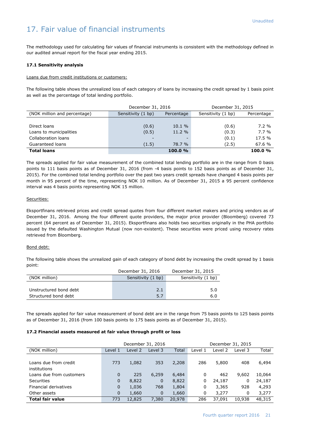## 17. Fair value of financial instruments

The methodology used for calculating fair values of financial instruments is consistent with the methodology defined in our audited annual report for the fiscal year ending 2015.

#### **17.1 Sensitivity analysis**

#### Loans due from credit institutions or customers:

The following table shows the unrealized loss of each category of loans by increasing the credit spread by 1 basis point as well as the percentage of total lending portfolio.

|                              | December 31, 2016  |                          | December 31, 2015  |            |  |
|------------------------------|--------------------|--------------------------|--------------------|------------|--|
| (NOK million and percentage) | Sensitivity (1 bp) | Percentage               | Sensitivity (1 bp) | Percentage |  |
|                              |                    |                          |                    |            |  |
| Direct loans                 | (0.6)              | 10.1%                    | (0.6)              | $7.2\%$    |  |
| Loans to municipalities      | (0.5)              | 11.2 %                   | (0.3)              | $7.7\%$    |  |
| Collaboration loans          |                    | $\overline{\phantom{0}}$ | (0.1)              | 17.5 %     |  |
| Guaranteed loans             | (1.5)              | 78.7 %                   | (2.5)              | 67.6 %     |  |
| <b>Total loans</b>           |                    | 100.0%                   |                    | 100.0%     |  |

The spreads applied for fair value measurement of the combined total lending portfolio are in the range from 0 basis points to 111 basis points as of December 31, 2016 (from -4 basis points to 152 basis points as of December 31, 2015). For the combined total lending portfolio over the past two years credit spreads have changed 4 basis points per month in 95 percent of the time, representing NOK 10 million. As of December 31, 2015 a 95 percent confidence interval was 4 basis points representing NOK 15 million.

#### Securities:

Eksportfinans retrieved prices and credit spread quotes from four different market makers and pricing vendors as of December 31, 2016. Among the four different quote providers, the major price provider (Bloomberg) covered 73 percent (64 percent as of December 31, 2015). Eksportfinans also holds two securities originally in the PHA portfolio issued by the defaulted Washington Mutual (now non-existent). These securities were priced using recovery rates retrieved from Bloomberg.

#### Bond debt:

The following table shows the unrealized gain of each category of bond debt by increasing the credit spread by 1 basis point:

|                        | December 31, 2016  | December 31, 2015  |
|------------------------|--------------------|--------------------|
| (NOK million)          | Sensitivity (1 bp) | Sensitivity (1 bp) |
|                        |                    |                    |
| Unstructured bond debt | 2.1                | 5.0                |
| Structured bond debt   | 5.7                | 6.0                |

The spreads applied for fair value measurement of bond debt are in the range from 75 basis points to 125 basis points as of December 31, 2016 (from 100 basis points to 175 basis points as of December 31, 2015).

#### **17.2 Financial assets measured at fair value through profit or loss**

|                          |          | December 31, 2016 |             |        | December 31, 2015 |         |         |        |
|--------------------------|----------|-------------------|-------------|--------|-------------------|---------|---------|--------|
| (NOK million)            | Level 1  | Level 2           | Level 3     | Total  | Level 1           | Level 2 | Level 3 | Total  |
|                          |          |                   |             |        |                   |         |         |        |
| Loans due from credit    | 773      | 1,082             | 353         | 2,208  | 286               | 5,800   | 408     | 6,494  |
| institutions             |          |                   |             |        |                   |         |         |        |
| Loans due from customers | $\Omega$ | 225               | 6,259       | 6,484  | 0                 | 462     | 9,602   | 10,064 |
| Securities               | 0        | 8,822             | $\mathbf 0$ | 8,822  | 0                 | 24,187  | 0       | 24,187 |
| Financial derivatives    | 0        | 1,036             | 768         | 1,804  | 0                 | 3,365   | 928     | 4,293  |
| Other assets             | $\Omega$ | 1,660             | $\mathbf 0$ | 1,660  | 0                 | 3.277   | 0       | 3,277  |
| <b>Total fair value</b>  | 773      | 12,825            | 7,380       | 20,978 | 286               | 37,091  | 10.938  | 48,315 |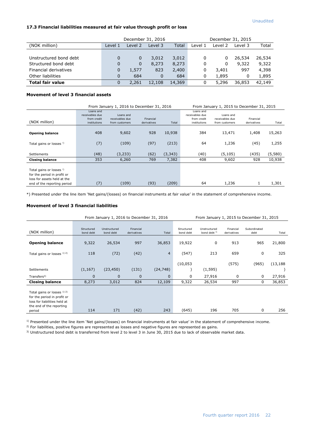#### **17.3 Financial liabilities measured at fair value through profit or loss**

|                         | December 31, 2016 |         |          |        | December 31, 2015 |         |         |        |
|-------------------------|-------------------|---------|----------|--------|-------------------|---------|---------|--------|
| (NOK million)           | Level 1           | Level 2 | Level 3  | Total  | Level 1           | Level 2 | Level 3 | Total  |
|                         |                   |         |          |        |                   |         |         |        |
| Unstructured bond debt  | 0                 | 0       | 3,012    | 3,012  | 0                 | 0       | 26,534  | 26,534 |
| Structured bond debt    | 0                 | 0       | 8,273    | 8,273  | 0                 | 0       | 9,322   | 9,322  |
| Financial derivatives   | 0                 | 1.577   | 823      | 2,400  | 0                 | 3,401   | 997     | 4,398  |
| Other liabilities       | 0                 | 684     | $\Omega$ | 684    | 0                 | 1,895   | 0       | 1,895  |
| <b>Total fair value</b> | 0                 | 2,261   | 12,108   | 14,369 | 0                 | 5,296   | 36,853  | 42,149 |

#### **Movement of level 3 financial assets**

|                                                                                                                                  |                                                             | From January 1, 2016 to December 31, 2016      | From January 1, 2015 to December 31, 2015 |          |                                                             |                                                |                          |         |
|----------------------------------------------------------------------------------------------------------------------------------|-------------------------------------------------------------|------------------------------------------------|-------------------------------------------|----------|-------------------------------------------------------------|------------------------------------------------|--------------------------|---------|
| (NOK million)                                                                                                                    | Loans and<br>receivables due<br>from credit<br>institutions | Loans and<br>receivables due<br>from customers | Financial<br>derivatives                  | Total    | Loans and<br>receivables due<br>from credit<br>institutions | Loans and<br>receivables due<br>from customers | Financial<br>derivatives | Total   |
| <b>Opening balance</b>                                                                                                           | 408                                                         | 9,602                                          | 928                                       | 10,938   | 384                                                         | 13,471                                         | 1,408                    | 15,263  |
| Total gains or losses <sup>!)</sup>                                                                                              | (7)                                                         | (109)                                          | (97)                                      | (213)    | 64                                                          | 1,236                                          | (45)                     | 1,255   |
| Settlements                                                                                                                      | (48)                                                        | (3, 233)                                       | (62)                                      | (3, 343) | (40)                                                        | (5, 105)                                       | (435)                    | (5,580) |
| <b>Closing balance</b>                                                                                                           | 353                                                         | 6,260                                          | 769                                       | 7,382    | 408                                                         | 9,602                                          | 928                      | 10,938  |
| Total gains or losses <sup>!)</sup><br>for the period in profit or<br>loss for assets held at the<br>end of the reporting period | (7)                                                         | (109)                                          | (93)                                      | (209)    | 64                                                          | 1,236                                          | 1                        | 1,301   |

\*) Presented under the line item 'Net gains/(losses) on financial instruments at fair value' in the statement of comprehensive income.

#### **Movement of level 3 financial liabilities**

|                                                                                                                                  |                         | From January 1, 2016 to December 31, 2016 |                          |                |                         |                                         |                          | From January 1, 2015 to December 31, 2015 |           |
|----------------------------------------------------------------------------------------------------------------------------------|-------------------------|-------------------------------------------|--------------------------|----------------|-------------------------|-----------------------------------------|--------------------------|-------------------------------------------|-----------|
| (NOK million)                                                                                                                    | Structured<br>bond debt | Unstructured<br>bond debt                 | Financial<br>derivatives | Total          | Structured<br>bond debt | Unstructured<br>bond debt <sup>3)</sup> | Financial<br>derivatives | Subordinated<br>debt                      | Total     |
| <b>Opening balance</b>                                                                                                           | 9,322                   | 26,534                                    | 997                      | 36,853         | 19,922                  | 0                                       | 913                      | 965                                       | 21,800    |
| Total gains or losses 1) 2)                                                                                                      | 118                     | (72)                                      | (42)                     | $\overline{4}$ | (547)                   | 213                                     | 659                      | 0                                         | 325       |
|                                                                                                                                  |                         |                                           |                          |                | (10, 053)               |                                         | (575)                    | (965)                                     | (13, 188) |
| <b>Settlements</b>                                                                                                               | (1, 167)                | (23, 450)                                 | (131)                    | (24, 748)      |                         | (1, 595)                                |                          |                                           |           |
| Transfers <sup>3</sup>                                                                                                           | 0                       | $\mathbf 0$                               | $\mathbf 0$              | $\mathbf 0$    | $\Omega$                | 27,916                                  | 0                        | 0                                         | 27,916    |
| <b>Closing balance</b>                                                                                                           | 8,273                   | 3,012                                     | 824                      | 12,109         | 9,322                   | 26,534                                  | 997                      | 0                                         | 36,853    |
| Total gains or losses 1) 2)<br>for the period in profit or<br>loss for liabilities held at<br>the end of the reporting<br>period | 114                     | 171                                       | (42)                     | 243            | (645)                   | 196                                     | 705                      | 0                                         | 256       |

<sup>1)</sup> Presented under the line item 'Net gains/(losses) on financial instruments at fair value' in the statement of comprehensive income.

<sup>2)</sup> For liabilities, positive figures are represented as losses and negative figures are represented as gains.

3) Unstructured bond debt is transferred from level 2 to level 3 in June 30, 2015 due to lack of observable market data.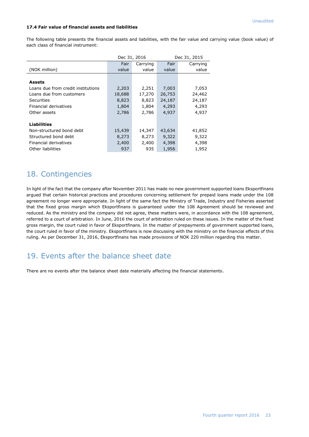#### **17.4 Fair value of financial assets and liabilities**

The following table presents the financial assets and liabilities, with the fair value and carrying value (book value) of each class of financial instrument:

|                                    |        | Dec 31, 2016 |        | Dec 31, 2015 |  |  |
|------------------------------------|--------|--------------|--------|--------------|--|--|
|                                    | Fair   | Carrying     | Fair   | Carrying     |  |  |
| (NOK million)                      | value  | value        | value  | value        |  |  |
|                                    |        |              |        |              |  |  |
| <b>Assets</b>                      |        |              |        |              |  |  |
| Loans due from credit institutions | 2,203  | 2,251        | 7,003  | 7,053        |  |  |
| Loans due from customers           | 18,688 | 17,270       | 26,753 | 24,462       |  |  |
| <b>Securities</b>                  | 8,823  | 8,823        | 24,187 | 24,187       |  |  |
| Financial derivatives              | 1,804  | 1,804        | 4,293  | 4,293        |  |  |
| Other assets                       | 2,786  | 2,786        | 4,937  | 4,937        |  |  |
|                                    |        |              |        |              |  |  |
| <b>Liabilities</b>                 |        |              |        |              |  |  |
| Non-structured bond debt           | 15,439 | 14,347       | 43,634 | 41,852       |  |  |
| Structured bond debt               | 8,273  | 8,273        | 9,322  | 9,322        |  |  |
| Financial derivatives              | 2,400  | 2,400        | 4,398  | 4,398        |  |  |
| Other liabilities                  | 937    | 935          | 1,956  | 1,952        |  |  |

#### 18. Contingencies

In light of the fact that the company after November 2011 has made no new government supported loans Eksportfinans argued that certain historical practices and procedures concerning settlement for prepaid loans made under the 108 agreement no longer were appropriate. In light of the same fact the Ministry of Trade, Industry and Fisheries asserted that the fixed gross margin which Eksportfinans is guaranteed under the 108 Agreement should be reviewed and reduced. As the ministry and the company did not agree, these matters were, in accordance with the 108 agreement, referred to a court of arbitration. In June, 2016 the court of arbitration ruled on these issues. In the matter of the fixed gross margin, the court ruled in favor of Eksportfinans. In the matter of prepayments of government supported loans, the court ruled in favor of the ministry. Eksportfinans is now discussing with the ministry on the financial effects of this ruling. As per December 31, 2016, Eksportfinans has made provisions of NOK 220 million regarding this matter.

#### 19. Events after the balance sheet date

There are no events after the balance sheet date materially affecting the financial statements.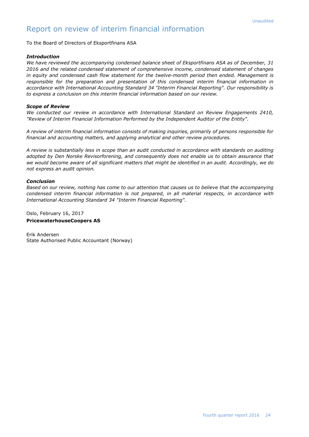#### Report on review of interim financial information

To the Board of Directors of Eksportfinans ASA

#### *Introduction*

*We have reviewed the accompanying condensed balance sheet of Eksportfinans ASA as of December, 31 2016 and the related condensed statement of comprehensive income, condensed statement of changes in equity and condensed cash flow statement for the twelve-month period then ended. Management is responsible for the preparation and presentation of this condensed interim financial information in accordance with International Accounting Standard 34 "Interim Financial Reporting". Our responsibility is to express a conclusion on this interim financial information based on our review.*

#### *Scope of Review*

*We conducted our review in accordance with International Standard on Review Engagements 2410, "Review of Interim Financial Information Performed by the Independent Auditor of the Entity".* 

*A review of interim financial information consists of making inquiries, primarily of persons responsible for financial and accounting matters, and applying analytical and other review procedures.* 

*A review is substantially less in scope than an audit conducted in accordance with standards on auditing adopted by Den Norske Revisorforening, and consequently does not enable us to obtain assurance that we would become aware of all significant matters that might be identified in an audit. Accordingly, we do not express an audit opinion.*

#### *Conclusion*

*Based on our review, nothing has come to our attention that causes us to believe that the accompanying condensed interim financial information is not prepared, in all material respects, in accordance with International Accounting Standard 34 "Interim Financial Reporting".*

Oslo, February 16, 2017

#### **PricewaterhouseCoopers AS**

Erik Andersen State Authorised Public Accountant (Norway)